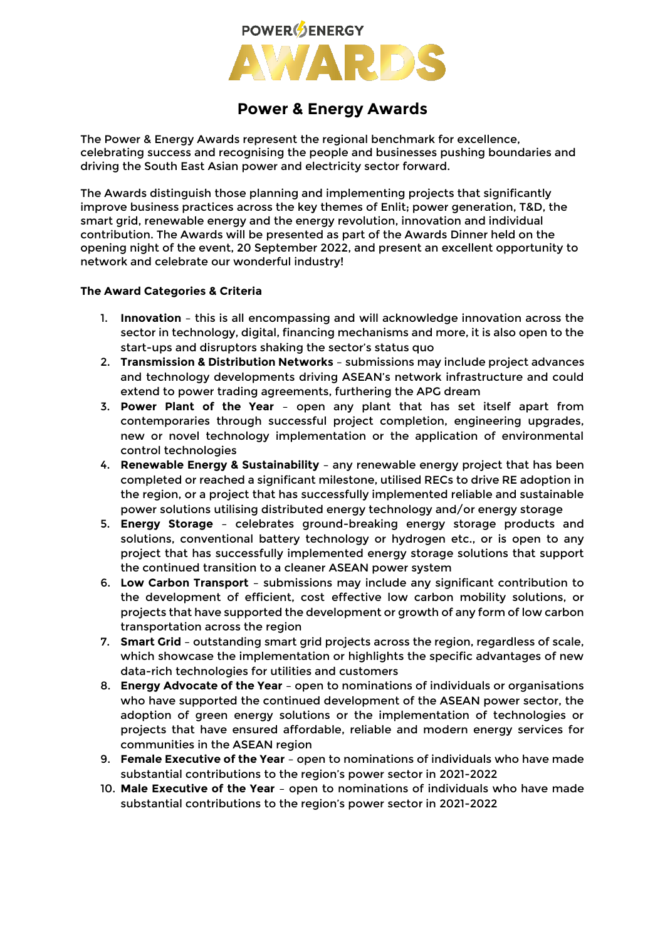

# **Power & Energy Awards**

The Power & Energy Awards represent the regional benchmark for excellence, celebrating success and recognising the people and businesses pushing boundaries and driving the South East Asian power and electricity sector forward.

The Awards distinguish those planning and implementing projects that significantly improve business practices across the key themes of Enlit; power generation, T&D, the smart grid, renewable energy and the energy revolution, innovation and individual contribution. The Awards will be presented as part of the Awards Dinner held on the opening night of the event, 20 September 2022, and present an excellent opportunity to network and celebrate our wonderful industry!

## **The Award Categories & Criteria**

- 1. **Innovation**  this is all encompassing and will acknowledge innovation across the sector in technology, digital, financing mechanisms and more, it is also open to the start-ups and disruptors shaking the sector's status quo
- 2. **Transmission & Distribution Networks** submissions may include project advances and technology developments driving ASEAN's network infrastructure and could extend to power trading agreements, furthering the APG dream
- 3. **Power Plant of the Year** open any plant that has set itself apart from contemporaries through successful project completion, engineering upgrades, new or novel technology implementation or the application of environmental control technologies
- 4. **Renewable Energy & Sustainability** any renewable energy project that has been completed or reached a significant milestone, utilised RECs to drive RE adoption in the region, or a project that has successfully implemented reliable and sustainable power solutions utilising distributed energy technology and/or energy storage
- 5. **Energy Storage** celebrates ground-breaking energy storage products and solutions, conventional battery technology or hydrogen etc., or is open to any project that has successfully implemented energy storage solutions that support the continued transition to a cleaner ASEAN power system
- 6. **Low Carbon Transport** submissions may include any significant contribution to the development of efficient, cost effective low carbon mobility solutions, or projects that have supported the development or growth of any form of low carbon transportation across the region
- 7. **Smart Grid** outstanding smart grid projects across the region, regardless of scale, which showcase the implementation or highlights the specific advantages of new data-rich technologies for utilities and customers
- 8. **Energy Advocate of the Year** open to nominations of individuals or organisations who have supported the continued development of the ASEAN power sector, the adoption of green energy solutions or the implementation of technologies or projects that have ensured affordable, reliable and modern energy services for communities in the ASEAN region
- 9. **Female Executive of the Year** open to nominations of individuals who have made substantial contributions to the region's power sector in 2021-2022
- 10. **Male Executive of the Year** open to nominations of individuals who have made substantial contributions to the region's power sector in 2021-2022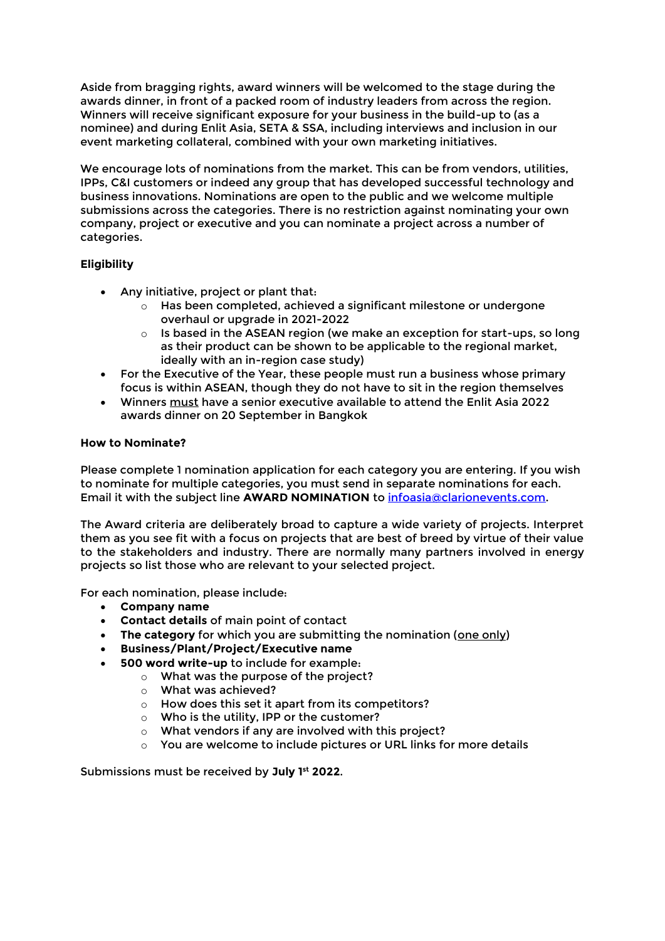Aside from bragging rights, award winners will be welcomed to the stage during the awards dinner, in front of a packed room of industry leaders from across the region. Winners will receive significant exposure for your business in the build-up to (as a nominee) and during Enlit Asia, SETA & SSA, including interviews and inclusion in our event marketing collateral, combined with your own marketing initiatives.

We encourage lots of nominations from the market. This can be from vendors, utilities, IPPs, C&I customers or indeed any group that has developed successful technology and business innovations. Nominations are open to the public and we welcome multiple submissions across the categories. There is no restriction against nominating your own company, project or executive and you can nominate a project across a number of categories.

# **Eligibility**

- Any initiative, project or plant that:
	- $\circ$  Has been completed, achieved a significant milestone or undergone overhaul or upgrade in 2021-2022
	- $\circ$  Is based in the ASEAN region (we make an exception for start-ups, so long as their product can be shown to be applicable to the regional market, ideally with an in-region case study)
- For the Executive of the Year, these people must run a business whose primary focus is within ASEAN, though they do not have to sit in the region themselves
- Winners must have a senior executive available to attend the Enlit Asia 2022 awards dinner on 20 September in Bangkok

## **How to Nominate?**

Please complete 1 nomination application for each category you are entering. If you wish to nominate for multiple categories, you must send in separate nominations for each. Email it with the subject line **AWARD NOMINATION** to [infoasia@clarionevents.com.](mailto:infoasia@clarionevents.com)

The Award criteria are deliberately broad to capture a wide variety of projects. Interpret them as you see fit with a focus on projects that are best of breed by virtue of their value to the stakeholders and industry. There are normally many partners involved in energy projects so list those who are relevant to your selected project.

For each nomination, please include:

- **Company name**
- **Contact details** of main point of contact
- **The category** for which you are submitting the nomination (one only)
- **Business/Plant/Project/Executive name**
- **500 word write-up** to include for example:
	- o What was the purpose of the project?
		- o What was achieved?
		- o How does this set it apart from its competitors?
		- o Who is the utility, IPP or the customer?
		- o What vendors if any are involved with this project?
		- o You are welcome to include pictures or URL links for more details

Submissions must be received by **July 1 st 2022**.